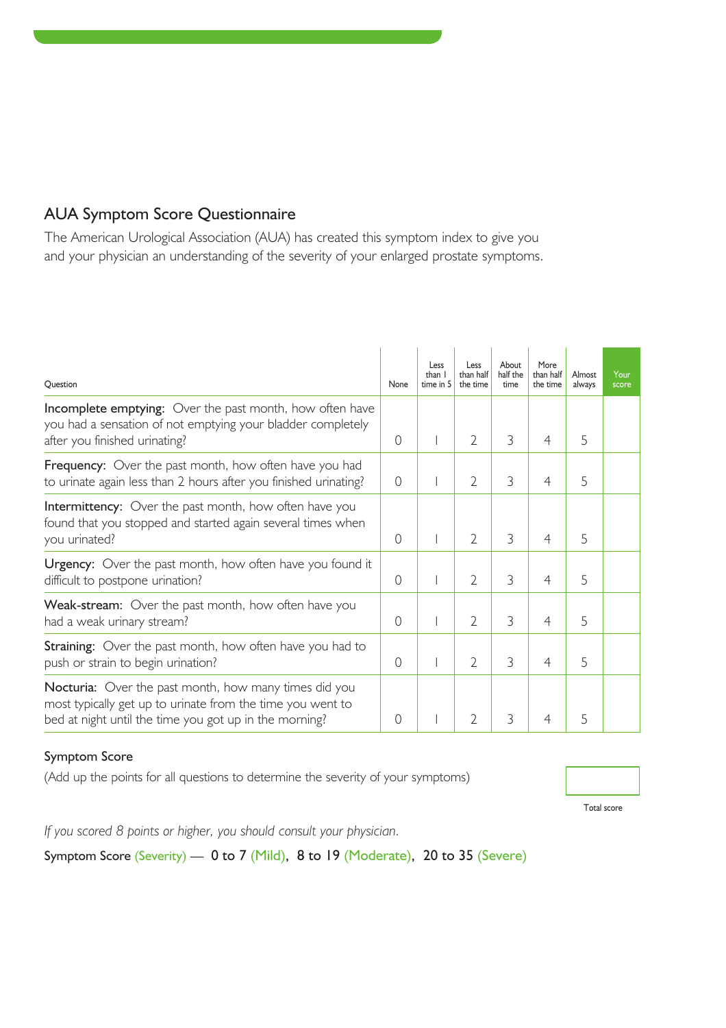## AUA Symptom Score Questionnaire

The American Urological Association (AUA) has created this symptom index to give you and your physician an understanding of the severity of your enlarged prostate symptoms.

| Ouestion                                                                                                                                                                             | None             | Less<br>than I<br>time in 5 | Less<br>than half<br>the time | About<br>half the<br>time | More<br>than half<br>the time | Almost<br>always | Your<br>score |
|--------------------------------------------------------------------------------------------------------------------------------------------------------------------------------------|------------------|-----------------------------|-------------------------------|---------------------------|-------------------------------|------------------|---------------|
| <b>Incomplete emptying:</b> Over the past month, how often have<br>you had a sensation of not emptying your bladder completely<br>after you finished urinating?                      | $\Omega$         |                             | $\overline{2}$                | 3                         | 4                             | 5                |               |
| <b>Frequency:</b> Over the past month, how often have you had<br>to urinate again less than 2 hours after you finished urinating?                                                    | $\overline{0}$   |                             | $\overline{2}$                | 3                         | 4                             | 5                |               |
| <b>Intermittency:</b> Over the past month, how often have you<br>found that you stopped and started again several times when<br>you urinated?                                        | $\Omega$         |                             | $\overline{2}$                | 3                         | $\overline{4}$                | 5                |               |
| <b>Urgency:</b> Over the past month, how often have you found it<br>difficult to postpone urination?                                                                                 | $\Omega$         |                             | $\overline{2}$                | 3                         | $\overline{4}$                | 5                |               |
| <b>Weak-stream:</b> Over the past month, how often have you<br>had a weak urinary stream?                                                                                            | $\Omega$         |                             | $\overline{2}$                | 3                         | $\overline{4}$                | 5                |               |
| <b>Straining:</b> Over the past month, how often have you had to<br>push or strain to begin urination?                                                                               | $\Omega$         |                             | $\overline{2}$                | 3                         | 4                             | 5                |               |
| <b>Nocturia:</b> Over the past month, how many times did you<br>most typically get up to urinate from the time you went to<br>bed at night until the time you got up in the morning? | $\left( \right)$ |                             | $\overline{2}$                | 3                         | 4                             | 5                |               |

## Symptom Score

(Add up the points for all questions to determine the severity of your symptoms)

Total score

*If you scored 8 points or higher, you should consult your physician.*

Symptom Score (Severity) — 0 to 7 (Mild), 8 to 19 (Moderate), 20 to 35 (Severe)